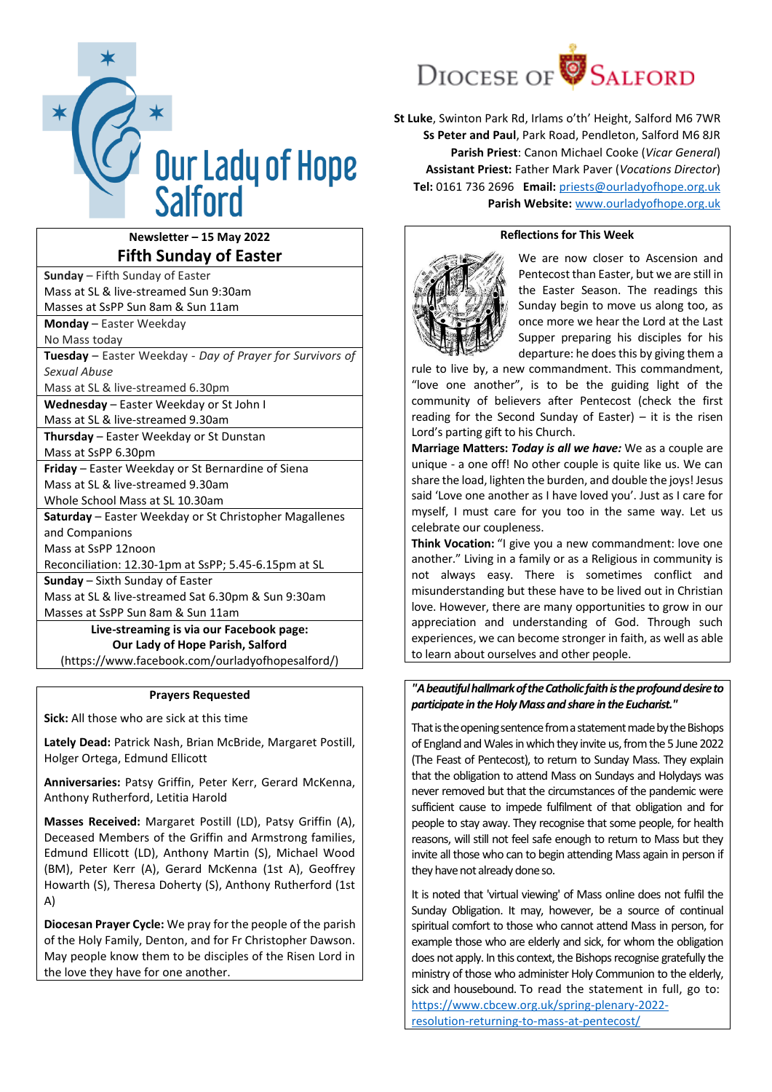

## **Newsletter – 15 May 2022 Fifth Sunday of Easter**

| <b>Sunday</b> – Fifth Sunday of Easter                    |  |
|-----------------------------------------------------------|--|
| Mass at SL & live-streamed Sun 9:30am                     |  |
| Masses at SsPP Sun 8am & Sun 11am                         |  |
| <b>Monday</b> – Easter Weekday                            |  |
| No Mass today                                             |  |
| Tuesday - Easter Weekday - Day of Prayer for Survivors of |  |
| Sexual Abuse                                              |  |
| Mass at SL & live-streamed 6.30pm                         |  |
| Wednesday - Easter Weekday or St John I                   |  |
| Mass at SL & live-streamed 9.30am                         |  |
| <b>Thursday</b> – Easter Weekday or St Dunstan            |  |
| Mass at SsPP 6.30pm                                       |  |
| Friday - Easter Weekday or St Bernardine of Siena         |  |
| Mass at SL & live-streamed 9.30am                         |  |
| Whole School Mass at SL 10.30am                           |  |
| Saturday - Easter Weekday or St Christopher Magallenes    |  |
| and Companions                                            |  |
| Mass at SsPP 12noon                                       |  |
| Reconciliation: 12.30-1pm at SsPP; 5.45-6.15pm at SL      |  |
| <b>Sunday</b> – Sixth Sunday of Easter                    |  |
| Mass at SL & live-streamed Sat 6.30pm & Sun 9:30am        |  |
| Masses at SsPP Sun 8am & Sun 11am                         |  |
| Live-streaming is via our Facebook page:                  |  |
| Our Lady of Hope Parish, Salford                          |  |
| (https://www.facebook.com/ourladyofhopesalford/)          |  |

### **Prayers Requested**

**Sick:** All those who are sick at this time

**Lately Dead:** Patrick Nash, Brian McBride, Margaret Postill, Holger Ortega, Edmund Ellicott

**Anniversaries:** Patsy Griffin, Peter Kerr, Gerard McKenna, Anthony Rutherford, Letitia Harold

**Masses Received:** Margaret Postill (LD), Patsy Griffin (A), Deceased Members of the Griffin and Armstrong families, Edmund Ellicott (LD), Anthony Martin (S), Michael Wood (BM), Peter Kerr (A), Gerard McKenna (1st A), Geoffrey Howarth (S), Theresa Doherty (S), Anthony Rutherford (1st A)

**Diocesan Prayer Cycle:** We pray for the people of the parish of the Holy Family, Denton, and for Fr Christopher Dawson. May people know them to be disciples of the Risen Lord in the love they have for one another.



**St Luke**, Swinton Park Rd, Irlams o'th' Height, Salford M6 7WR **Ss Peter and Paul**, Park Road, Pendleton, Salford M6 8JR **Parish Priest**: Canon Michael Cooke (*Vicar General*) **Assistant Priest:** Father Mark Paver (*Vocations Director*) **Tel:** 0161 736 2696 **Email:** [priests@ourladyofhope.org.uk](mailto:priests@ourladyofhope.org.uk) **Parish Website:** [www.ourladyofhope.org.uk](http://www.ourladyofhope.org.uk/)

## **Reflections for This Week**



We are now closer to Ascension and Pentecost than Easter, but we are still in the Easter Season. The readings this Sunday begin to move us along too, as once more we hear the Lord at the Last Supper preparing his disciples for his departure: he does this by giving them a

rule to live by, a new commandment. This commandment, "love one another", is to be the guiding light of the community of believers after Pentecost (check the first reading for the Second Sunday of Easter) – it is the risen Lord's parting gift to his Church.

**Marriage Matters:** *Today is all we have:* We as a couple are unique - a one off! No other couple is quite like us. We can share the load, lighten the burden, and double the joys! Jesus said 'Love one another as I have loved you'. Just as I care for myself, I must care for you too in the same way. Let us celebrate our coupleness.

**Think Vocation:** "I give you a new commandment: love one another." Living in a family or as a Religious in community is not always easy. There is sometimes conflict and misunderstanding but these have to be lived out in Christian love. However, there are many opportunities to grow in our appreciation and understanding of God. Through such experiences, we can become stronger in faith, as well as able to learn about ourselves and other people.

## *"A beautiful hallmark of the Catholic faith is the profound desire to participate in the Holy Mass and share in the Eucharist."*

That is the opening sentence from a statement made by the Bishops of England and Wales in which they invite us, from the 5 June 2022 (The Feast of Pentecost), to return to Sunday Mass. They explain that the obligation to attend Mass on Sundays and Holydays was never removed but that the circumstances of the pandemic were sufficient cause to impede fulfilment of that obligation and for people to stay away. They recognise that some people, for health reasons, will still not feel safe enough to return to Mass but they invite all those who can to begin attending Mass again in person if they have not already done so.

It is noted that 'virtual viewing' of Mass online does not fulfil the Sunday Obligation. It may, however, be a source of continual spiritual comfort to those who cannot attend Mass in person, for example those who are elderly and sick, for whom the obligation does not apply. In this context, the Bishops recognise gratefully the ministry of those who administer Holy Communion to the elderly, sick and housebound. To read the statement in full, go to: [https://www.cbcew.org.uk/spring-plenary-2022](https://www.cbcew.org.uk/spring-plenary-2022-resolution-returning-to-mass-at-pentecost/) [resolution-returning-to-mass-at-pentecost/](https://www.cbcew.org.uk/spring-plenary-2022-resolution-returning-to-mass-at-pentecost/)